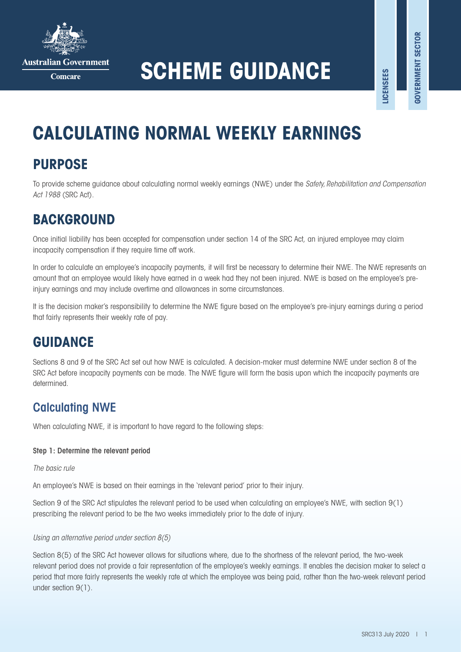

**Australian Government** 

Comeare

# **SCHEME GUIDANCE**

**LICENSEES**

**.ICENSEES** 

# **CALCULATING NORMAL WEEKLY EARNINGS**

# **PURPOSE**

To provide scheme guidance about calculating normal weekly earnings (NWE) under the *Safety, Rehabilitation and Compensation Act 1988* (SRC Act).

### **BACKGROUND**

Once initial liability has been accepted for compensation under section 14 of the SRC Act, an injured employee may claim incapacity compensation if they require time off work.

In order to calculate an employee's incapacity payments, it will first be necessary to determine their NWE. The NWE represents an amount that an employee would likely have earned in a week had they not been injured. NWE is based on the employee's preinjury earnings and may include overtime and allowances in some circumstances.

It is the decision maker's responsibility to determine the NWE figure based on the employee's pre-injury earnings during a period that fairly represents their weekly rate of pay.

# **GUIDANCE**

Sections 8 and 9 of the SRC Act set out how NWE is calculated. A decision-maker must determine NWE under section 8 of the SRC Act before incapacity payments can be made. The NWE figure will form the basis upon which the incapacity payments are determined.

### Calculating NWE

When calculating NWE, it is important to have regard to the following steps:

#### Step 1: Determine the relevant period

#### *The basic rule*

An employee's NWE is based on their earnings in the 'relevant period' prior to their injury.

Section 9 of the SRC Act stipulates the relevant period to be used when calculating an employee's NWE, with section 9(1) prescribing the relevant period to be the two weeks immediately prior to the date of injury.

#### *Using an alternative period under section 8(5)*

Section 8(5) of the SRC Act however allows for situations where, due to the shortness of the relevant period, the two-week relevant period does not provide a fair representation of the employee's weekly earnings. It enables the decision maker to select a period that more fairly represents the weekly rate at which the employee was being paid, rather than the two-week relevant period under section 9(1).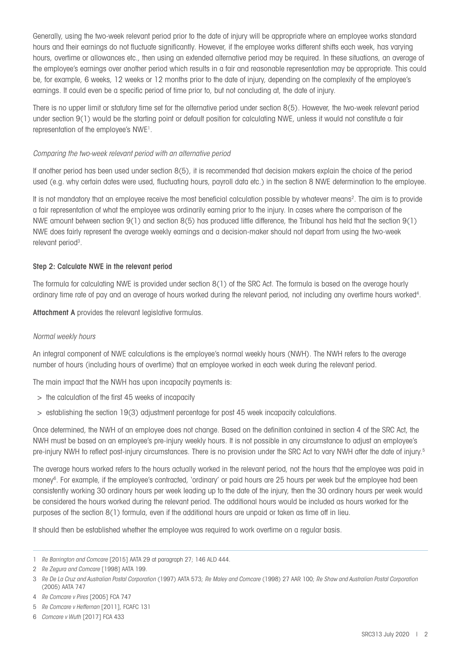Generally, using the two-week relevant period prior to the date of injury will be appropriate where an employee works standard hours and their earnings do not fluctuate significantly. However, if the employee works different shifts each week, has varying hours, overtime or allowances etc., then using an extended alternative period may be required. In these situations, an average of the employee's earnings over another period which results in a fair and reasonable representation may be appropriate. This could be, for example, 6 weeks, 12 weeks or 12 months prior to the date of injury, depending on the complexity of the employee's earnings. It could even be a specific period of time prior to, but not concluding at, the date of injury.

There is no upper limit or statutory time set for the alternative period under section 8(5). However, the two-week relevant period under section 9(1) would be the starting point or default position for calculating NWE, unless it would not constitute a fair representation of the employee's NWE<sup>1</sup>.

#### *Comparing the two-week relevant period with an alternative period*

If another period has been used under section 8(5), it is recommended that decision makers explain the choice of the period used (e.g. why certain dates were used, fluctuating hours, payroll data etc.) in the section 8 NWE determination to the employee.

It is not mandatory that an employee receive the most beneficial calculation possible by whatever means<sup>2</sup>. The aim is to provide a fair representation of what the employee was ordinarily earning prior to the injury. In cases where the comparison of the NWE amount between section 9(1) and section 8(5) has produced little difference, the Tribunal has held that the section 9(1) NWE does fairly represent the average weekly earnings and a decision-maker should not depart from using the two-week relevant period<sup>3</sup>.

#### Step 2: Calculate NWE in the relevant period

The formula for calculating NWE is provided under section 8(1) of the SRC Act. The formula is based on the average hourly ordinary time rate of pay and an average of hours worked during the relevant period, not including any overtime hours worked<sup>4</sup>.

Attachment A provides the relevant legislative formulas.

#### *Normal weekly hours*

An integral component of NWE calculations is the employee's normal weekly hours (NWH). The NWH refers to the average number of hours (including hours of overtime) that an employee worked in each week during the relevant period.

The main impact that the NWH has upon incapacity payments is:

- > the calculation of the first 45 weeks of incapacity
- > establishing the section 19(3) adjustment percentage for post 45 week incapacity calculations.

Once determined, the NWH of an employee does not change. Based on the definition contained in section 4 of the SRC Act, the NWH must be based on an employee's pre-injury weekly hours. It is not possible in any circumstance to adjust an employee's pre-injury NWH to reflect post-injury circumstances. There is no provision under the SRC Act to vary NWH after the date of injury. 5

The average hours worked refers to the hours actually worked in the relevant period, not the hours that the employee was paid in money<sup>6</sup>. For example, if the employee's contracted, `ordinary' or paid hours are 25 hours per week but the employee had been consistently working 30 ordinary hours per week leading up to the date of the injury, then the 30 ordinary hours per week would be considered the hours worked during the relevant period. The additional hours would be included as hours worked for the purposes of the section 8(1) formula, even if the additional hours are unpaid or taken as time off in lieu.

It should then be established whether the employee was required to work overtime on a regular basis.

<sup>1</sup> *Re Barrington and Comcare* [2015] AATA 29 at paragraph 27; 146 ALD 444.

<sup>2</sup> *Re Zegura and Comcare* [1998] AATA 199.

<sup>3</sup> *Re De La Cruz and Australian Postal Corporation* (1997) AATA 573; *Re Maley and Comcare* (1998) 27 AAR 100; *Re Shaw and Australian Postal Corporation*  (2005) AATA 747

<sup>4</sup> *Re Comcare v Pires* [2005] FCA 747

<sup>5</sup> *Re Comcare v Heffernan* [2011], FCAFC 131

<sup>6</sup> *Comcare v Wuth* [2017] FCA 433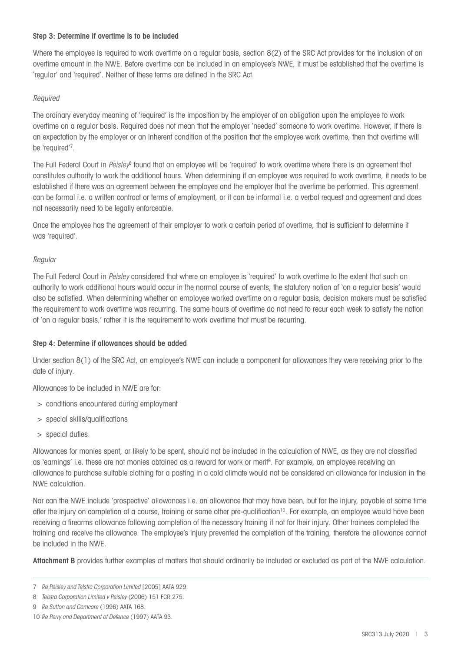#### Step 3: Determine if overtime is to be included

Where the employee is required to work overtime on a regular basis, section 8(2) of the SRC Act provides for the inclusion of an overtime amount in the NWE. Before overtime can be included in an employee's NWE, it must be established that the overtime is 'regular' and 'required'. Neither of these terms are defined in the SRC Act.

#### *Required*

The ordinary everyday meaning of 'required' is the imposition by the employer of an obligation upon the employee to work overtime on a regular basis. Required does not mean that the employer 'needed' someone to work overtime. However, if there is an expectation by the employer or an inherent condition of the position that the employee work overtime, then that overtime will be 'required'7.

The Full Federal Court in *Peisley*<sup>8</sup> found that an employee will be 'required' to work overtime where there is an agreement that constitutes authority to work the additional hours. When determining if an employee was required to work overtime, it needs to be established if there was an agreement between the employee and the employer that the overtime be performed. This agreement can be formal i.e. a written contract or terms of employment, or it can be informal i.e. a verbal request and agreement and does not necessarily need to be legally enforceable.

Once the employee has the agreement of their employer to work a certain period of overtime, that is sufficient to determine it was 'required'.

#### *Regular*

The Full Federal Court in *Peisley* considered that where an employee is 'required' to work overtime to the extent that such an authority to work additional hours would occur in the normal course of events, the statutory notion of 'on a regular basis' would also be satisfied. When determining whether an employee worked overtime on a regular basis, decision makers must be satisfied the requirement to work overtime was recurring. The same hours of overtime do not need to recur each week to satisfy the notion of 'on a regular basis,' rather it is the requirement to work overtime that must be recurring.

#### Step 4: Determine if allowances should be added

Under section 8(1) of the SRC Act, an employee's NWE can include a component for allowances they were receiving prior to the date of injury.

Allowances to be included in NWE are for:

- > conditions encountered during employment
- > special skills/qualifications
- > special duties.

Allowances for monies spent, or likely to be spent, should not be included in the calculation of NWE, as they are not classified as `earnings' i.e. these are not monies obtained as a reward for work or merit<sup>9</sup>. For example, an employee receiving an allowance to purchase suitable clothing for a posting in a cold climate would not be considered an allowance for inclusion in the NWE calculation.

Nor can the NWE include 'prospective' allowances i.e. an allowance that may have been, but for the injury, payable at some time after the injury on completion of a course, training or some other pre-qualification<sup>10</sup>. For example, an employee would have been receiving a firearms allowance following completion of the necessary training if not for their injury. Other trainees completed the training and receive the allowance. The employee's injury prevented the completion of the training, therefore the allowance cannot be included in the NWE.

Attachment B provides further examples of matters that should ordinarily be included or excluded as part of the NWE calculation.

<sup>7</sup> *Re Peisley and Telstra Corporation Limited* [2005] AATA 929.

<sup>8</sup> *Telstra Corporation Limited v Peisley* (2006) 151 FCR 275.

<sup>9</sup> *Re Sutton and Comcare* (1996) AATA 168.

<sup>10</sup> *Re Perry and Department of Defence* (1997) AATA 93.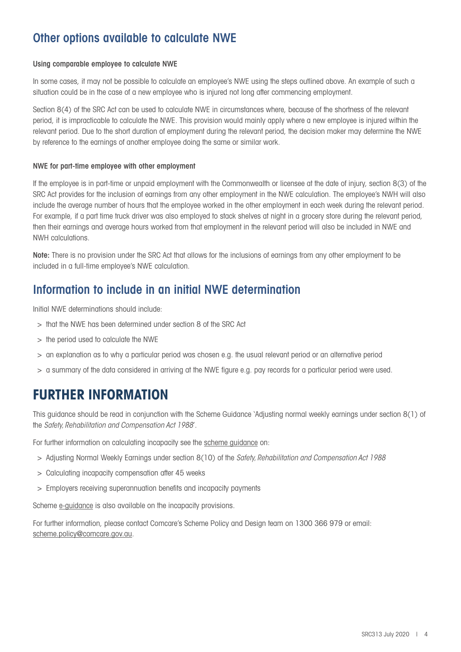### Other options available to calculate NWE

#### Using comparable employee to calculate NWE

In some cases, it may not be possible to calculate an employee's NWE using the steps outlined above. An example of such a situation could be in the case of a new employee who is injured not long after commencing employment.

Section 8(4) of the SRC Act can be used to calculate NWE in circumstances where, because of the shortness of the relevant period, it is impracticable to calculate the NWE. This provision would mainly apply where a new employee is injured within the relevant period. Due to the short duration of employment during the relevant period, the decision maker may determine the NWE by reference to the earnings of another employee doing the same or similar work.

#### NWE for part-time employee with other employment

If the employee is in part-time or unpaid employment with the Commonwealth or licensee at the date of injury, section 8(3) of the SRC Act provides for the inclusion of earnings from any other employment in the NWE calculation. The employee's NWH will also include the average number of hours that the employee worked in the other employment in each week during the relevant period. For example, if a part time truck driver was also employed to stack shelves at night in a grocery store during the relevant period, then their earnings and average hours worked from that employment in the relevant period will also be included in NWE and NWH calculations.

Note: There is no provision under the SRC Act that allows for the inclusions of earnings from any other employment to be included in a full-time employee's NWE calculation.

### Information to include in an initial NWE determination

Initial NWE determinations should include:

- > that the NWE has been determined under section 8 of the SRC Act
- > the period used to calculate the NWE
- > an explanation as to why a particular period was chosen e.g. the usual relevant period or an alternative period
- > a summary of the data considered in arriving at the NWE figure e.g. pay records for a particular period were used.

### **FURTHER INFORMATION**

This guidance should be read in conjunction with the Scheme Guidance 'Adjusting normal weekly earnings under section 8(1) of the *Safety, Rehabilitation and Compensation Act 1988*'.

For further information on calculating incapacity see the [scheme guidance](https://www.comcare.gov.au/the_scheme/guidance_on_applying_the_src_act) on:

- > Adjusting Normal Weekly Earnings under section 8(10) of the *Safety, Rehabilitation and Compensation Act 1988*
- > Calculating incapacity compensation after 45 weeks
- > Employers receiving superannuation benefits and incapacity payments

Scheme [e-guidance](https://www.comcare.gov.au/training/scheme_e-guidance?utm_source=comnet&utm_medium=feature_news&utm_campaign=e-guidance_launch&utm_content=launch) is also available on the incapacity provisions.

For further information, please contact Comcare's Scheme Policy and Design team on 1300 366 979 or email: [scheme.policy@comcare.gov.au](mailto:scheme.policy%40comcare.gov.au?subject=).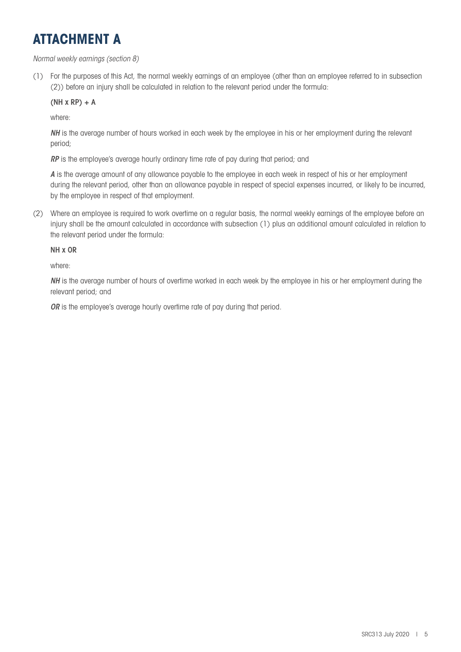## **ATTACHMENT A**

#### *Normal weekly earnings (section 8)*

(1) For the purposes of this Act, the normal weekly earnings of an employee (other than an employee referred to in subsection (2)) before an injury shall be calculated in relation to the relevant period under the formula:

#### $(NH \times RP) + A$

where:

*NH* is the average number of hours worked in each week by the employee in his or her employment during the relevant period;

*RP* is the employee's average hourly ordinary time rate of pay during that period; and

*A* is the average amount of any allowance payable to the employee in each week in respect of his or her employment during the relevant period, other than an allowance payable in respect of special expenses incurred, or likely to be incurred, by the employee in respect of that employment.

(2) Where an employee is required to work overtime on a regular basis, the normal weekly earnings of the employee before an injury shall be the amount calculated in accordance with subsection (1) plus an additional amount calculated in relation to the relevant period under the formula:

#### NH x OR

where:

*NH* is the average number of hours of overtime worked in each week by the employee in his or her employment during the relevant period; and

*OR* is the employee's average hourly overtime rate of pay during that period.